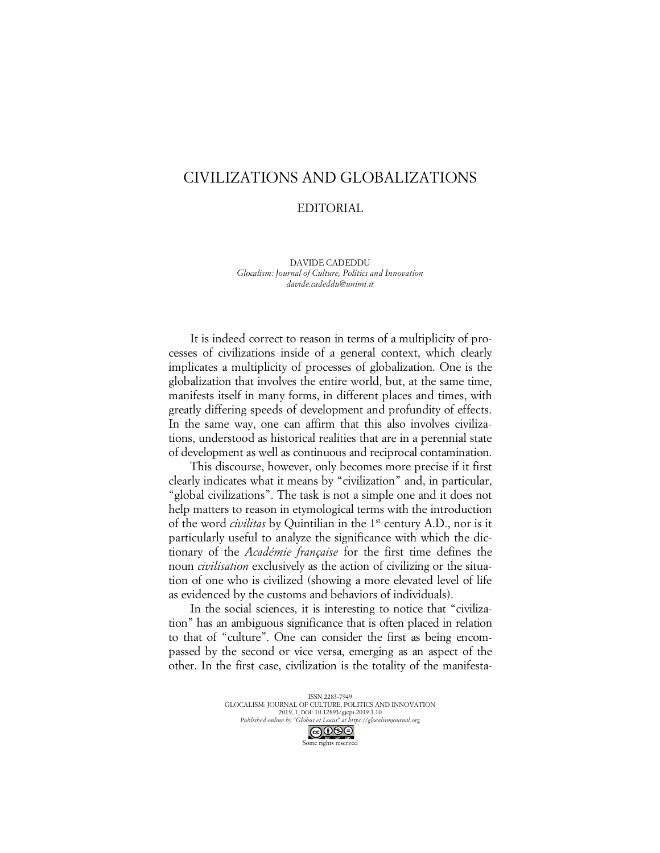## CIVILIZATIONS AND GLOBALIZATIONS

## EDITORIAL

DAVIDE CADEDDU *Glocalism: Journal of Culture, Politics and Innovation davide.cadeddu@unimi.it*

It is indeed correct to reason in terms of a multiplicity of processes of civilizations inside of a general context, which clearly implicates a multiplicity of processes of globalization. One is the globalization that involves the entire world, but, at the same time, manifests itself in many forms, in different places and times, with greatly differing speeds of development and profundity of effects. In the same way, one can affirm that this also involves civilizations, understood as historical realities that are in a perennial state of development as well as continuous and reciprocal contamination.

This discourse, however, only becomes more precise if it first clearly indicates what it means by "civilization" and, in particular, "global civilizations". The task is not a simple one and it does not help matters to reason in etymological terms with the introduction of the word *civilitas* by Quintilian in the 1st century A.D., nor is it particularly useful to analyze the significance with which the dictionary of the *Académie française* for the first time defines the noun *civilisation* exclusively as the action of civilizing or the situation of one who is civilized (showing a more elevated level of life as evidenced by the customs and behaviors of individuals).

In the social sciences, it is interesting to notice that "civilization" has an ambiguous significance that is often placed in relation to that of "culture". One can consider the first as being encompassed by the second or vice versa, emerging as an aspect of the other. In the first case, civilization is the totality of the manifesta-

> ISSN 2283-7949 GLOCALISM: JOURNAL OF CULTURE, POLITICS AND INNOVATION 2019, 1, DOI: 10.12893/gjcpi.2019.1.10 *Published online by "Globus et Locus" at https://glocalismjournal.org* Some rights reserved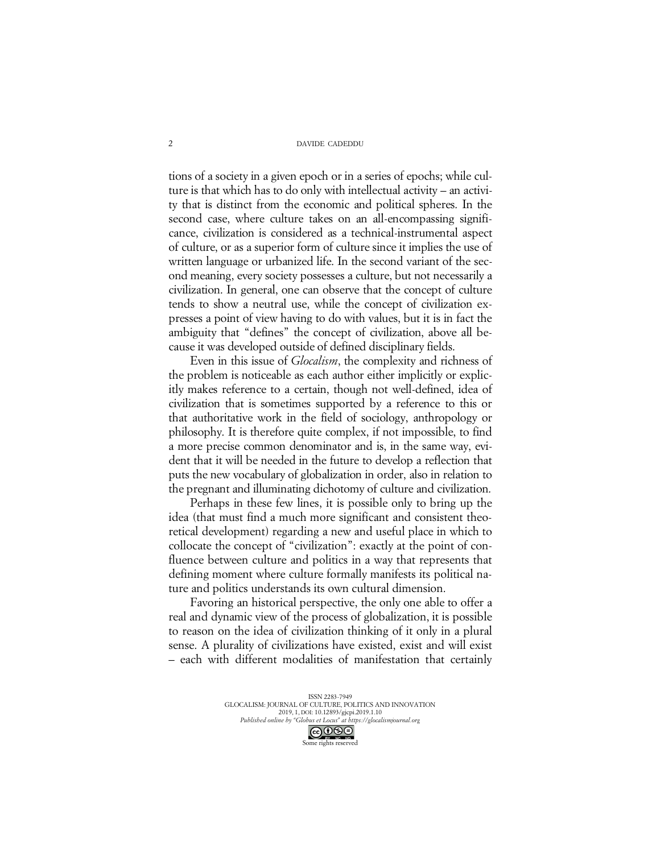## DAVIDE CADEDDU

tions of a society in a given epoch or in a series of epochs; while culture is that which has to do only with intellectual activity – an activity that is distinct from the economic and political spheres. In the second case, where culture takes on an all-encompassing significance, civilization is considered as a technical-instrumental aspect of culture, or as a superior form of culture since it implies the use of written language or urbanized life. In the second variant of the second meaning, every society possesses a culture, but not necessarily a civilization. In general, one can observe that the concept of culture tends to show a neutral use, while the concept of civilization expresses a point of view having to do with values, but it is in fact the ambiguity that "defines" the concept of civilization, above all because it was developed outside of defined disciplinary fields.

Even in this issue of *Glocalism*, the complexity and richness of the problem is noticeable as each author either implicitly or explicitly makes reference to a certain, though not well-defined, idea of civilization that is sometimes supported by a reference to this or that authoritative work in the field of sociology, anthropology or philosophy. It is therefore quite complex, if not impossible, to find a more precise common denominator and is, in the same way, evident that it will be needed in the future to develop a reflection that puts the new vocabulary of globalization in order, also in relation to the pregnant and illuminating dichotomy of culture and civilization.

Perhaps in these few lines, it is possible only to bring up the idea (that must find a much more significant and consistent theoretical development) regarding a new and useful place in which to collocate the concept of "civilization": exactly at the point of confluence between culture and politics in a way that represents that defining moment where culture formally manifests its political nature and politics understands its own cultural dimension.

Favoring an historical perspective, the only one able to offer a real and dynamic view of the process of globalization, it is possible to reason on the idea of civilization thinking of it only in a plural sense. A plurality of civilizations have existed, exist and will exist – each with different modalities of manifestation that certainly

> ISSN 2283-7949 GLOCALISM: JOURNAL OF CULTURE, POLITICS AND INNOVATION 2019, 1, DOI: 10.12893/gjcpi.2019.1.10 *Published online by "Globus et Locus" at https://glocalismjournal.org* Some rights reserved